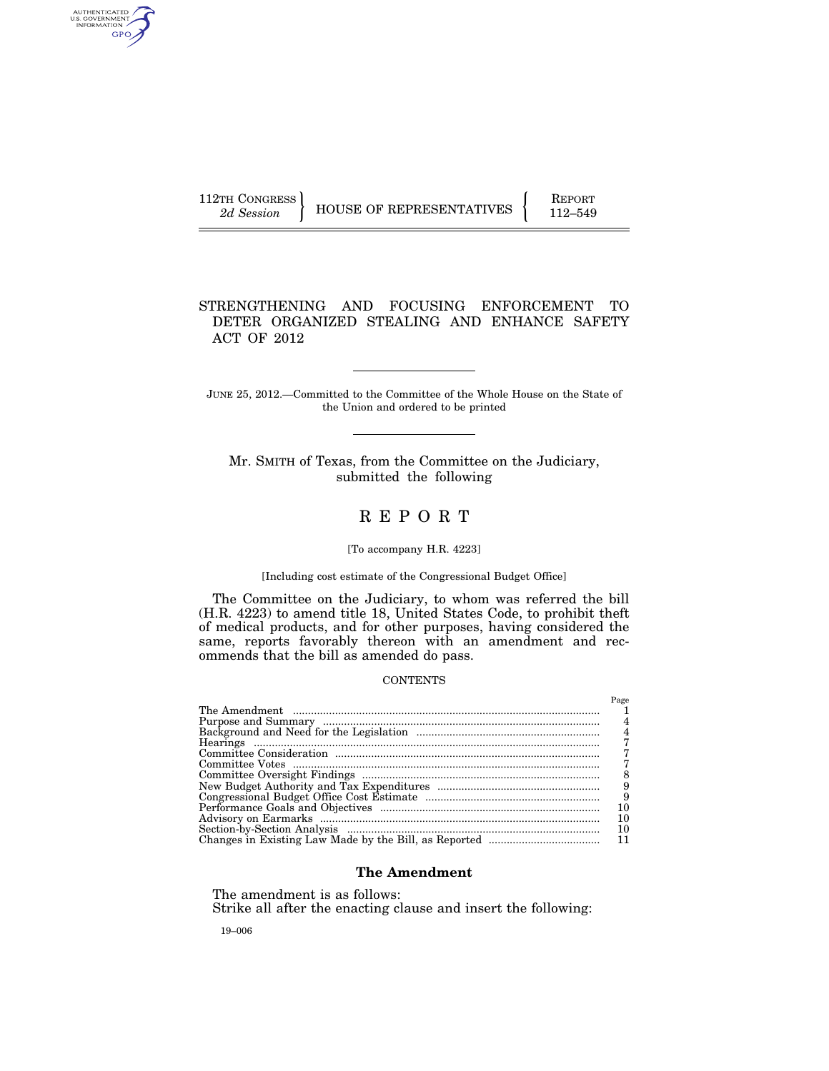AUTHENTICATED<br>U.S. GOVERNMENT<br>INFORMATION GPO

112TH CONGRESS HOUSE OF REPRESENTATIVES FEPORT 112–549

## STRENGTHENING AND FOCUSING ENFORCEMENT TO DETER ORGANIZED STEALING AND ENHANCE SAFETY ACT OF 2012

JUNE 25, 2012.—Committed to the Committee of the Whole House on the State of the Union and ordered to be printed

Mr. SMITH of Texas, from the Committee on the Judiciary, submitted the following

# R E P O R T

#### [To accompany H.R. 4223]

#### [Including cost estimate of the Congressional Budget Office]

The Committee on the Judiciary, to whom was referred the bill (H.R. 4223) to amend title 18, United States Code, to prohibit theft of medical products, and for other purposes, having considered the same, reports favorably thereon with an amendment and recommends that the bill as amended do pass.

#### **CONTENTS**

| Page |
|------|
|      |
|      |
|      |
|      |
|      |
|      |
|      |
| 9    |
| 9    |
| 10   |
| 10   |
| 10   |
|      |

## **The Amendment**

The amendment is as follows:

Strike all after the enacting clause and insert the following:

19–006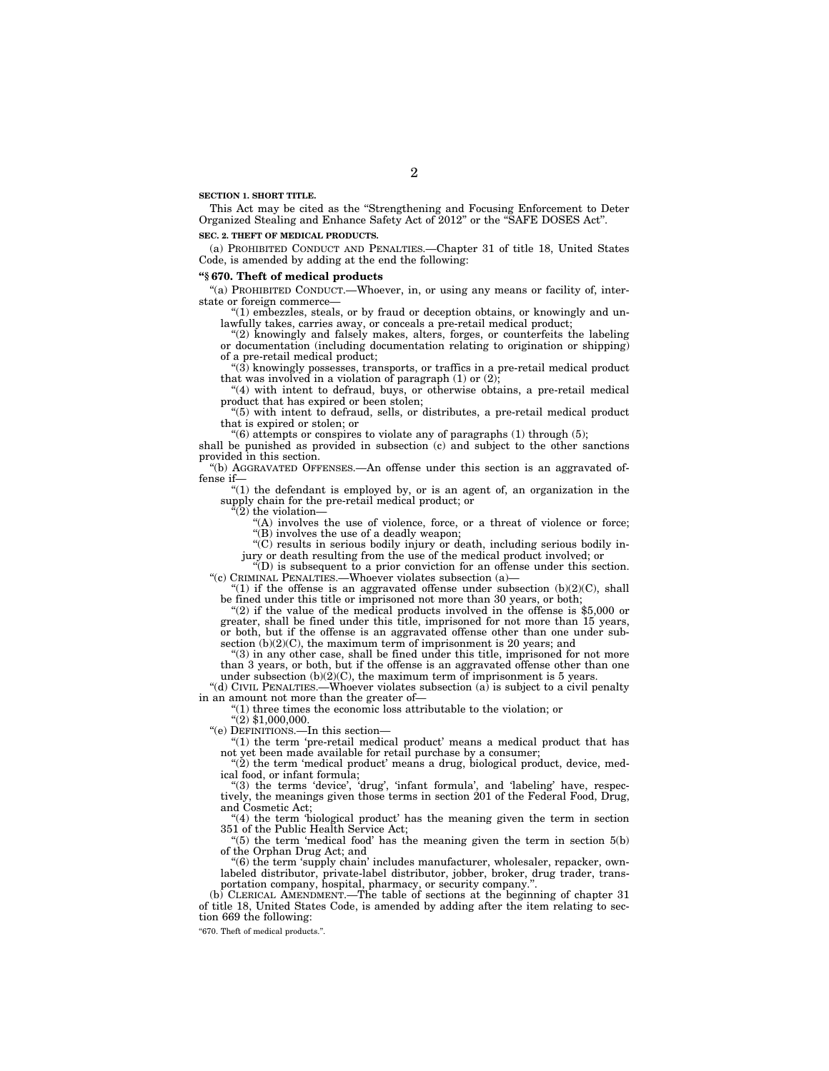**SECTION 1. SHORT TITLE.** 

This Act may be cited as the ''Strengthening and Focusing Enforcement to Deter Organized Stealing and Enhance Safety Act of 2012'' or the ''SAFE DOSES Act''.

#### **SEC. 2. THEFT OF MEDICAL PRODUCTS.**

(a) PROHIBITED CONDUCT AND PENALTIES.—Chapter 31 of title 18, United States Code, is amended by adding at the end the following:

## **''§ 670. Theft of medical products**

"(a) PROHIBITED CONDUCT.—Whoever, in, or using any means or facility of, interstate or foreign commerce—

 $(1)$  embezzles, steals, or by fraud or deception obtains, or knowingly and unlawfully takes, carries away, or conceals a pre-retail medical product;

''(2) knowingly and falsely makes, alters, forges, or counterfeits the labeling or documentation (including documentation relating to origination or shipping) of a pre-retail medical product;

 $\degree$ (3) knowingly possesses, transports, or traffics in a pre-retail medical product that was involved in a violation of paragraph  $(1)$  or  $(2)$ ;

"(4) with intent to defraud, buys, or otherwise obtains, a pre-retail medical product that has expired or been stolen;

''(5) with intent to defraud, sells, or distributes, a pre-retail medical product that is expired or stolen; or

 $(6)$  attempts or conspires to violate any of paragraphs  $(1)$  through  $(5)$ ;

shall be punished as provided in subsection (c) and subject to the other sanctions provided in this section.

''(b) AGGRAVATED OFFENSES.—An offense under this section is an aggravated offense if—

''(1) the defendant is employed by, or is an agent of, an organization in the supply chain for the pre-retail medical product; or

 $\sqrt[a]{(2)}$  the violation—

"(A) involves the use of violence, force, or a threat of violence or force; "(B) involves the use of a deadly weapon;

''(C) results in serious bodily injury or death, including serious bodily injury or death resulting from the use of the medical product involved; or

 $\mathcal{L}(D)$  is subsequent to a prior conviction for an offense under this section. "(c) CRIMINAL PENALTIES.—Whoever violates subsection (a)-

" $(1)$  if the offense is an aggravated offense under subsection  $(b)(2)(C)$ , shall be fined under this title or imprisoned not more than 30 years, or both;

"(2) if the value of the medical products involved in the offense is \$5,000 or greater, shall be fined under this title, imprisoned for not more than 15 years, or both, but if the offense is an aggravated offense other than one under subsection  $(b)(2)(C)$ , the maximum term of imprisonment is 20 years; and

''(3) in any other case, shall be fined under this title, imprisoned for not more than 3 years, or both, but if the offense is an aggravated offense other than one under subsection  $(b)(2)(C)$ , the maximum term of imprisonment is 5 years.

''(d) CIVIL PENALTIES.—Whoever violates subsection (a) is subject to a civil penalty in an amount not more than the greater of—

''(1) three times the economic loss attributable to the violation; or

''(2) \$1,000,000.

''(e) DEFINITIONS.—In this section—

"(1) the term 'pre-retail medical product' means a medical product that has not yet been made available for retail purchase by a consumer;

" $(2)$  the term 'medical product' means a drug, biological product, device, medical food, or infant formula;

"(3) the terms 'device', 'drug', 'infant formula', and 'labeling' have, respectively, the meanings given those terms in section 201 of the Federal Food, Drug, and Cosmetic Act;

''(4) the term 'biological product' has the meaning given the term in section 351 of the Public Health Service Act;

" $(5)$  the term 'medical food' has the meaning given the term in section  $5(b)$ of the Orphan Drug Act; and

"(6) the term 'supply chain' includes manufacturer, wholesaler, repacker, ownlabeled distributor, private-label distributor, jobber, broker, drug trader, transportation company, hospital, pharmacy, or security company.''.

(b) CLERICAL AMENDMENT.—The table of sections at the beginning of chapter 31 of title 18, United States Code, is amended by adding after the item relating to section 669 the following:

''670. Theft of medical products.''.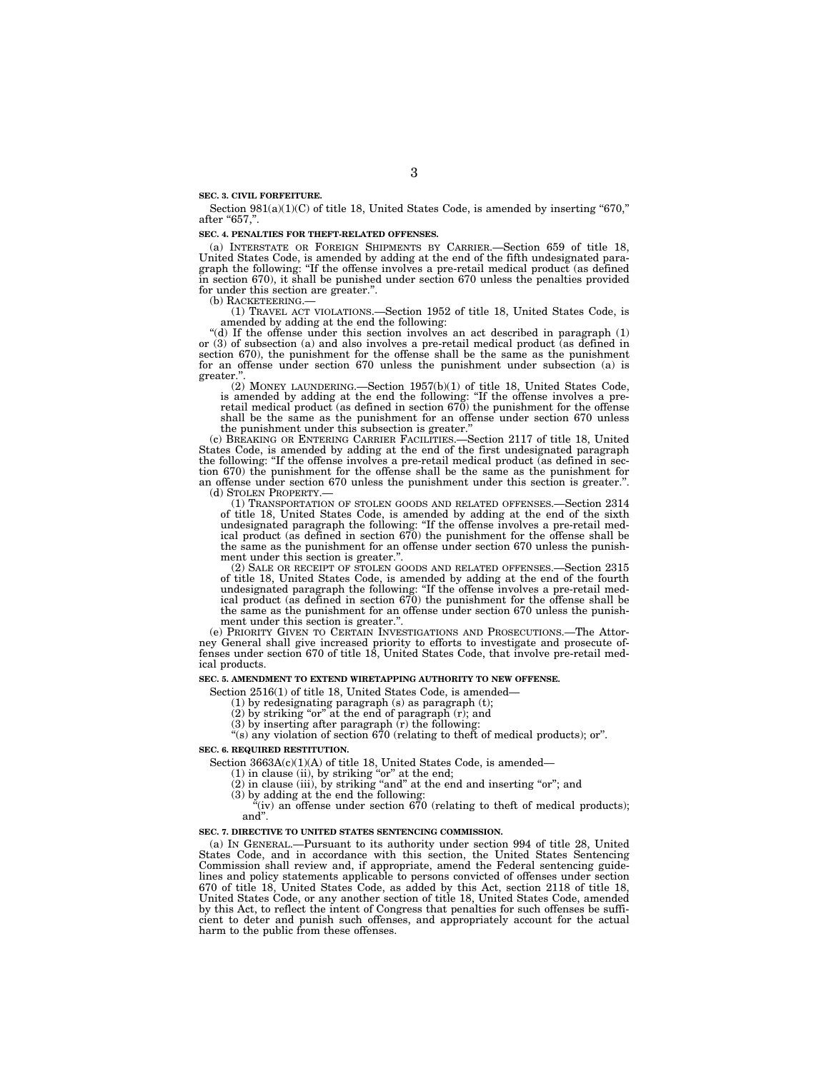#### **SEC. 3. CIVIL FORFEITURE.**

Section  $981(a)(1)(C)$  of title 18, United States Code, is amended by inserting "670," after "657.".

#### **SEC. 4. PENALTIES FOR THEFT-RELATED OFFENSES.**

(a) INTERSTATE OR FOREIGN SHIPMENTS BY CARRIER.—Section 659 of title 18, United States Code, is amended by adding at the end of the fifth undesignated paragraph the following: ''If the offense involves a pre-retail medical product (as defined in section 670), it shall be punished under section 670 unless the penalties provided for under this section are greater.".<br>(b) RACKETEERING.—

(1) TRAVEL ACT VIOLATIONS.—Section 1952 of title 18, United States Code, is amended by adding at the end the following:

''(d) If the offense under this section involves an act described in paragraph (1) or (3) of subsection (a) and also involves a pre-retail medical product (as defined in section 670), the punishment for the offense shall be the same as the punishment for an offense under section 670 unless the punishment under subsection (a) is greater.

(2) MONEY LAUNDERING.—Section 1957(b)(1) of title 18, United States Code, is amended by adding at the end the following: ''If the offense involves a pre-retail medical product (as defined in section 670) the punishment for the offense shall be the same as the punishment for an offense under section 670 unless

the punishment under this subsection is greater.'' (c) BREAKING OR ENTERING CARRIER FACILITIES.—Section 2117 of title 18, United States Code, is amended by adding at the end of the first undesignated paragraph the following: ''If the offense involves a pre-retail medical product (as defined in section 670) the punishment for the offense shall be the same as the punishment for an offense under section 670 unless the punishment under this section is greater.''.

(d) STOLEN PROPERTY.— (1) TRANSPORTATION OF STOLEN GOODS AND RELATED OFFENSES.—Section 2314 of title 18, United States Code, is amended by adding at the end of the sixth undesignated paragraph the following: ''If the offense involves a pre-retail medical product (as defined in section 670) the punishment for the offense shall be the same as the punishment for an offense under section 670 unless the punishment under this section is greater."

(2) SALE OR RECEIPT OF STOLEN GOODS AND RELATED OFFENSES.—Section 2315 of title 18, United States Code, is amended by adding at the end of the fourth undesignated paragraph the following: ''If the offense involves a pre-retail med-ical product (as defined in section 670) the punishment for the offense shall be the same as the punishment for an offense under section 670 unless the punishment under this section is greater.''.

(e) PRIORITY GIVEN TO CERTAIN INVESTIGATIONS AND PROSECUTIONS.—The Attorney General shall give increased priority to efforts to investigate and prosecute of-fenses under section 670 of title 18, United States Code, that involve pre-retail medical products.

#### **SEC. 5. AMENDMENT TO EXTEND WIRETAPPING AUTHORITY TO NEW OFFENSE.**

Section 2516(1) of title 18, United States Code, is amended—

(1) by redesignating paragraph (s) as paragraph (t); (2) by striking ''or'' at the end of paragraph (r); and

(3) by inserting after paragraph (r) the following: ''(s) any violation of section 670 (relating to theft of medical products); or''.

#### **SEC. 6. REQUIRED RESTITUTION.**

Section 3663A(c)(1)(A) of title 18, United States Code, is amended—<br>
(1) in clause (ii), by striking "or" at the end;<br>
(2) in clause (iii), by striking "or" at the end and inserting "or"; and<br>
(3) by adding at the end the and''.

#### **SEC. 7. DIRECTIVE TO UNITED STATES SENTENCING COMMISSION.**

(a) IN GENERAL.—Pursuant to its authority under section 994 of title 28, United States Code, and in accordance with this section, the United States Sentencing Commission shall review and, if appropriate, amend the Federal sentencing guidelines and policy statements applicable to persons convicted of offenses under section 670 of title 18, United States Code, as added by this Act, section 2118 of title 18, United States Code, or any another section of title 18, United States Code, amended by this Act, to reflect the intent of Congress that penalties for such offenses be sufficient to deter and punish such offenses, and appropriately account for the actual harm to the public from these offenses.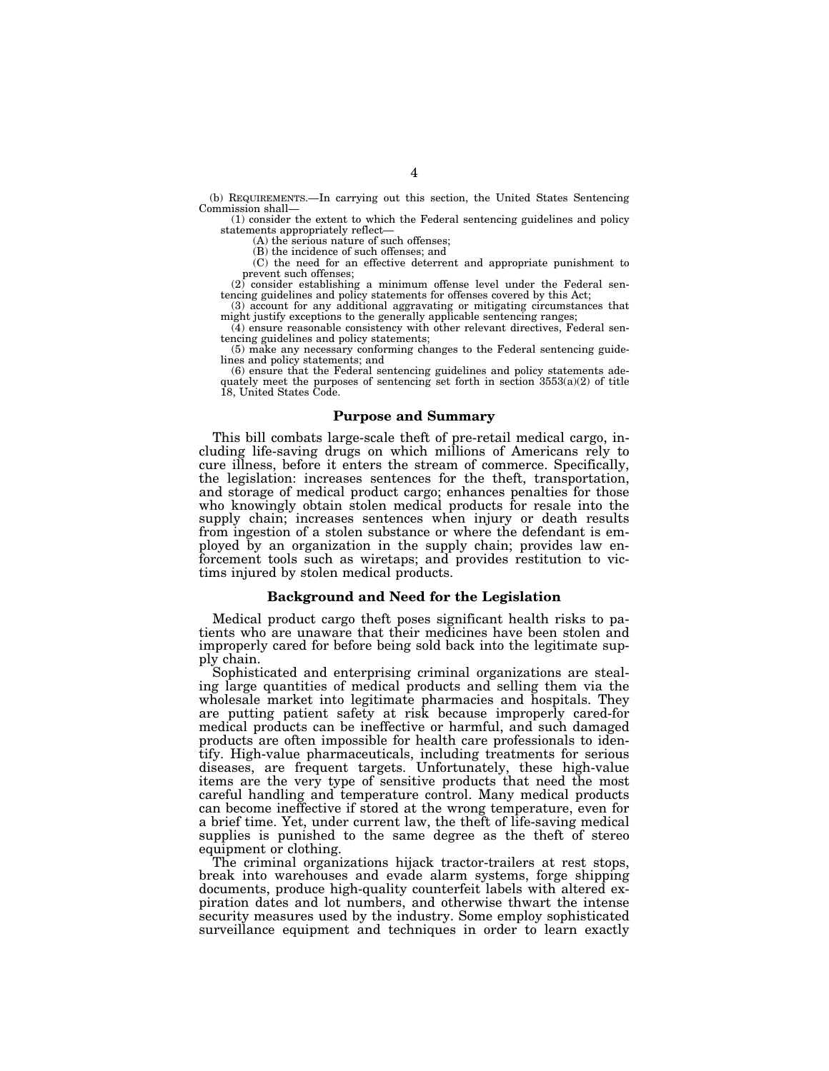(b) REQUIREMENTS.—In carrying out this section, the United States Sentencing Commission shall—

(1) consider the extent to which the Federal sentencing guidelines and policy statements appropriately reflect—

(A) the serious nature of such offenses;

(B) the incidence of such offenses; and

(C) the need for an effective deterrent and appropriate punishment to prevent such offenses;

 $(2)$  consider establishing a minimum offense level under the Federal sentencing guidelines and policy statements for offenses covered by this Act;

(3) account for any additional aggravating or mitigating circumstances that might justify exceptions to the generally applicable sentencing ranges;

(4) ensure reasonable consistency with other relevant directives, Federal sentencing guidelines and policy statements;

(5) make any necessary conforming changes to the Federal sentencing guidelines and policy statements; and

(6) ensure that the Federal sentencing guidelines and policy statements adequately meet the purposes of sentencing set forth in section  $3553(a)(2)$  of title 18, United States Code.

#### **Purpose and Summary**

This bill combats large-scale theft of pre-retail medical cargo, including life-saving drugs on which millions of Americans rely to cure illness, before it enters the stream of commerce. Specifically, the legislation: increases sentences for the theft, transportation, and storage of medical product cargo; enhances penalties for those who knowingly obtain stolen medical products for resale into the supply chain; increases sentences when injury or death results from ingestion of a stolen substance or where the defendant is employed by an organization in the supply chain; provides law enforcement tools such as wiretaps; and provides restitution to victims injured by stolen medical products.

#### **Background and Need for the Legislation**

Medical product cargo theft poses significant health risks to patients who are unaware that their medicines have been stolen and improperly cared for before being sold back into the legitimate supply chain.

Sophisticated and enterprising criminal organizations are stealing large quantities of medical products and selling them via the wholesale market into legitimate pharmacies and hospitals. They are putting patient safety at risk because improperly cared-for medical products can be ineffective or harmful, and such damaged products are often impossible for health care professionals to identify. High-value pharmaceuticals, including treatments for serious diseases, are frequent targets. Unfortunately, these high-value items are the very type of sensitive products that need the most careful handling and temperature control. Many medical products can become ineffective if stored at the wrong temperature, even for a brief time. Yet, under current law, the theft of life-saving medical supplies is punished to the same degree as the theft of stereo equipment or clothing.

The criminal organizations hijack tractor-trailers at rest stops, break into warehouses and evade alarm systems, forge shipping documents, produce high-quality counterfeit labels with altered expiration dates and lot numbers, and otherwise thwart the intense security measures used by the industry. Some employ sophisticated surveillance equipment and techniques in order to learn exactly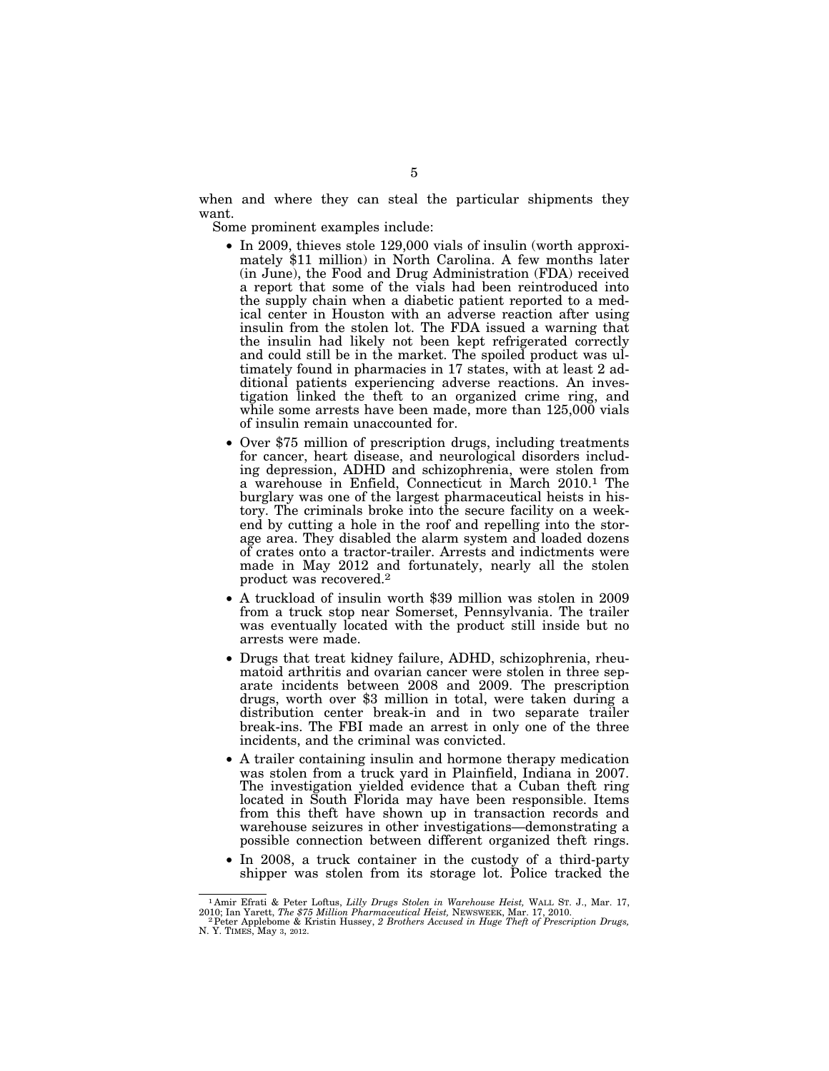when and where they can steal the particular shipments they want.

Some prominent examples include:

- In 2009, thieves stole 129,000 vials of insulin (worth approximately \$11 million) in North Carolina. A few months later (in June), the Food and Drug Administration (FDA) received a report that some of the vials had been reintroduced into the supply chain when a diabetic patient reported to a medical center in Houston with an adverse reaction after using insulin from the stolen lot. The FDA issued a warning that the insulin had likely not been kept refrigerated correctly and could still be in the market. The spoiled product was ultimately found in pharmacies in 17 states, with at least 2 additional patients experiencing adverse reactions. An investigation linked the theft to an organized crime ring, and while some arrests have been made, more than 125,000 vials of insulin remain unaccounted for.
- Over \$75 million of prescription drugs, including treatments for cancer, heart disease, and neurological disorders including depression, ADHD and schizophrenia, were stolen from a warehouse in Enfield, Connecticut in March 2010.1 The burglary was one of the largest pharmaceutical heists in history. The criminals broke into the secure facility on a weekend by cutting a hole in the roof and repelling into the storage area. They disabled the alarm system and loaded dozens of crates onto a tractor-trailer. Arrests and indictments were made in May 2012 and fortunately, nearly all the stolen product was recovered.2
- A truckload of insulin worth \$39 million was stolen in 2009 from a truck stop near Somerset, Pennsylvania. The trailer was eventually located with the product still inside but no arrests were made.
- Drugs that treat kidney failure, ADHD, schizophrenia, rheumatoid arthritis and ovarian cancer were stolen in three separate incidents between 2008 and 2009. The prescription drugs, worth over \$3 million in total, were taken during a distribution center break-in and in two separate trailer break-ins. The FBI made an arrest in only one of the three incidents, and the criminal was convicted.
- A trailer containing insulin and hormone therapy medication was stolen from a truck yard in Plainfield, Indiana in 2007. The investigation yielded evidence that a Cuban theft ring located in South Florida may have been responsible. Items from this theft have shown up in transaction records and warehouse seizures in other investigations—demonstrating a possible connection between different organized theft rings.
- In 2008, a truck container in the custody of a third-party shipper was stolen from its storage lot. Police tracked the

<sup>1</sup> Amir Efrati & Peter Loftus, *Lilly Drugs Stolen in Warehouse Heist,* WALL ST. J., Mar. 17,

<sup>2010;</sup> Ian Yarett, *The \$75 Million Pharmaceutical Heist,* NEWSWEEK, Mar. 17, 2010. 2Peter Applebome & Kristin Hussey, *2 Brothers Accused in Huge Theft of Prescription Drugs,*  N. Y. TIMES, May 3, 2012.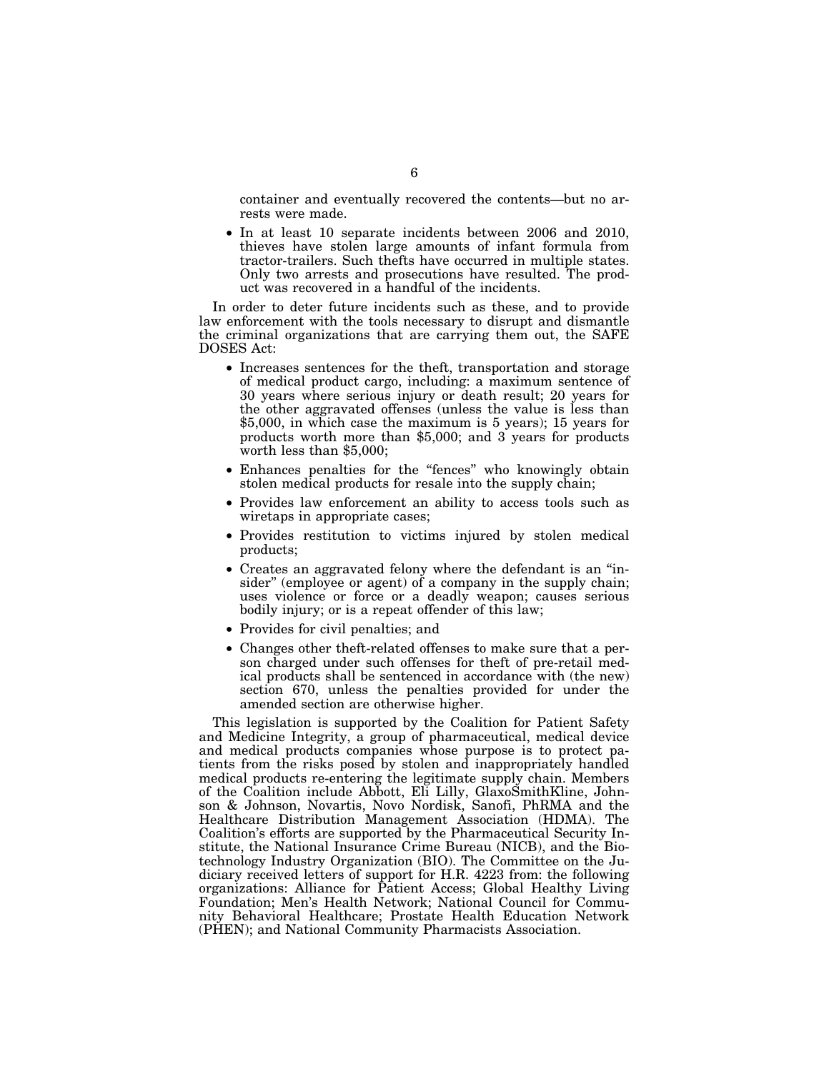container and eventually recovered the contents—but no arrests were made.

• In at least 10 separate incidents between 2006 and 2010, thieves have stolen large amounts of infant formula from tractor-trailers. Such thefts have occurred in multiple states. Only two arrests and prosecutions have resulted. The product was recovered in a handful of the incidents.

In order to deter future incidents such as these, and to provide law enforcement with the tools necessary to disrupt and dismantle the criminal organizations that are carrying them out, the SAFE DOSES Act:

- Increases sentences for the theft, transportation and storage of medical product cargo, including: a maximum sentence of 30 years where serious injury or death result; 20 years for the other aggravated offenses (unless the value is less than \$5,000, in which case the maximum is 5 years); 15 years for products worth more than \$5,000; and 3 years for products worth less than \$5,000;
- Enhances penalties for the "fences" who knowingly obtain stolen medical products for resale into the supply chain;
- Provides law enforcement an ability to access tools such as wiretaps in appropriate cases;
- Provides restitution to victims injured by stolen medical products;
- Creates an aggravated felony where the defendant is an ''insider" (employee or agent) of a company in the supply chain; uses violence or force or a deadly weapon; causes serious bodily injury; or is a repeat offender of this law;
- Provides for civil penalties; and
- Changes other theft-related offenses to make sure that a person charged under such offenses for theft of pre-retail medical products shall be sentenced in accordance with (the new) section 670, unless the penalties provided for under the amended section are otherwise higher.

This legislation is supported by the Coalition for Patient Safety and Medicine Integrity, a group of pharmaceutical, medical device and medical products companies whose purpose is to protect patients from the risks posed by stolen and inappropriately handled medical products re-entering the legitimate supply chain. Members of the Coalition include Abbott, Eli Lilly, GlaxoSmithKline, Johnson & Johnson, Novartis, Novo Nordisk, Sanofi, PhRMA and the Healthcare Distribution Management Association (HDMA). The Coalition's efforts are supported by the Pharmaceutical Security Institute, the National Insurance Crime Bureau (NICB), and the Biotechnology Industry Organization (BIO). The Committee on the Judiciary received letters of support for H.R. 4223 from: the following organizations: Alliance for Patient Access; Global Healthy Living Foundation; Men's Health Network; National Council for Community Behavioral Healthcare; Prostate Health Education Network (PHEN); and National Community Pharmacists Association.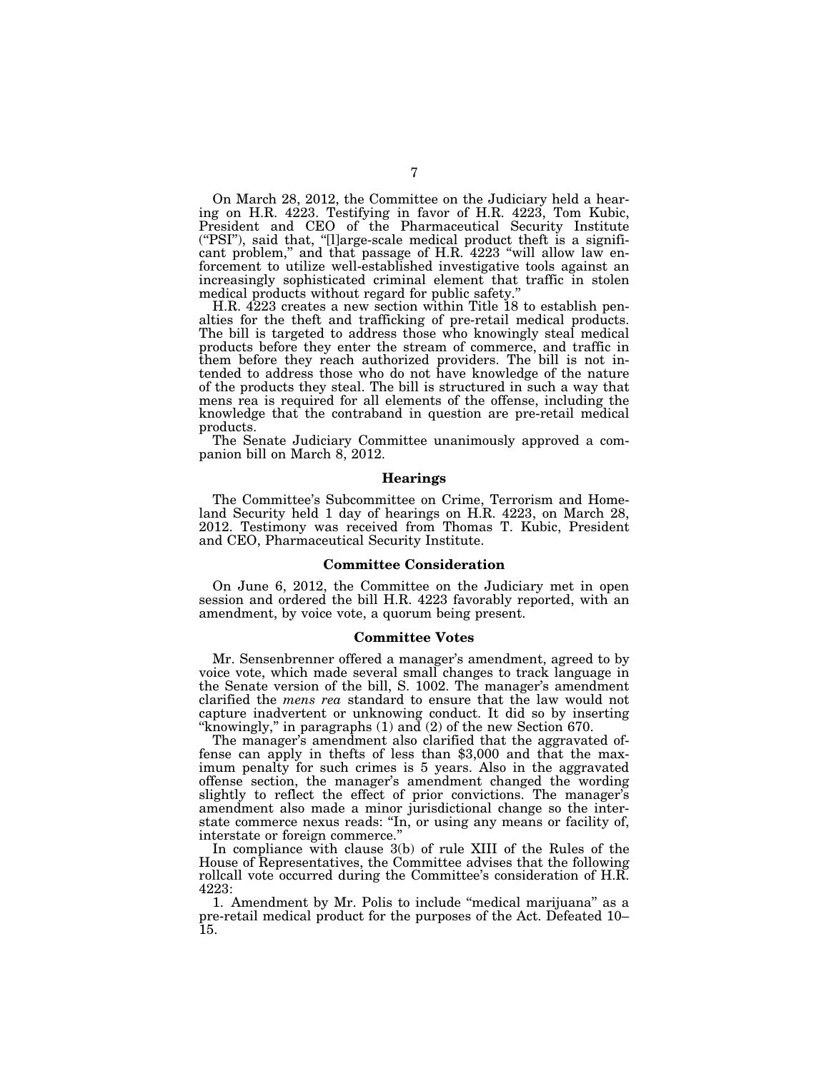On March 28, 2012, the Committee on the Judiciary held a hearing on H.R. 4223. Testifying in favor of H.R. 4223, Tom Kubic, President and CEO of the Pharmaceutical Security Institute (''PSI''), said that, ''[l]arge-scale medical product theft is a significant problem," and that passage of H.R. 4223 "will allow law enforcement to utilize well-established investigative tools against an increasingly sophisticated criminal element that traffic in stolen medical products without regard for public safety.''

H.R. 4223 creates a new section within Title 18 to establish penalties for the theft and trafficking of pre-retail medical products. The bill is targeted to address those who knowingly steal medical products before they enter the stream of commerce, and traffic in them before they reach authorized providers. The bill is not intended to address those who do not have knowledge of the nature of the products they steal. The bill is structured in such a way that mens rea is required for all elements of the offense, including the knowledge that the contraband in question are pre-retail medical products.

The Senate Judiciary Committee unanimously approved a companion bill on March 8, 2012.

#### **Hearings**

The Committee's Subcommittee on Crime, Terrorism and Homeland Security held 1 day of hearings on H.R. 4223, on March 28, 2012. Testimony was received from Thomas T. Kubic, President and CEO, Pharmaceutical Security Institute.

#### **Committee Consideration**

On June 6, 2012, the Committee on the Judiciary met in open session and ordered the bill H.R. 4223 favorably reported, with an amendment, by voice vote, a quorum being present.

### **Committee Votes**

Mr. Sensenbrenner offered a manager's amendment, agreed to by voice vote, which made several small changes to track language in the Senate version of the bill, S. 1002. The manager's amendment clarified the *mens rea* standard to ensure that the law would not capture inadvertent or unknowing conduct. It did so by inserting ''knowingly,'' in paragraphs (1) and (2) of the new Section 670.

The manager's amendment also clarified that the aggravated of-<br>fense can apply in thefts of less than \$3,000 and that the maximum penalty for such crimes is 5 years. Also in the aggravated offense section, the manager's amendment changed the wording slightly to reflect the effect of prior convictions. The manager's amendment also made a minor jurisdictional change so the interstate commerce nexus reads: ''In, or using any means or facility of, interstate or foreign commerce.

In compliance with clause 3(b) of rule XIII of the Rules of the House of Representatives, the Committee advises that the following rollcall vote occurred during the Committee's consideration of H.R. 4223:

1. Amendment by Mr. Polis to include ''medical marijuana'' as a pre-retail medical product for the purposes of the Act. Defeated 10– 15.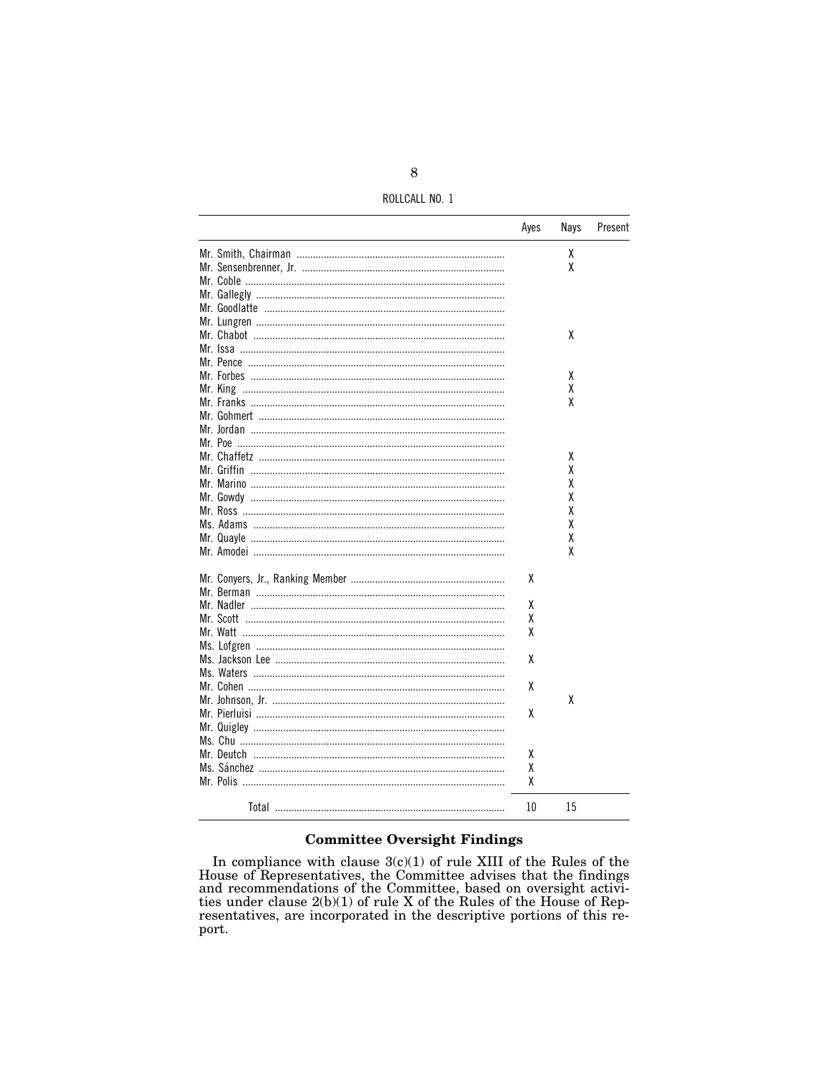ROLLCALL NO. 1

|                                            | Ayes | Nays | Present |
|--------------------------------------------|------|------|---------|
|                                            |      | χ    |         |
|                                            |      | χ    |         |
|                                            |      |      |         |
|                                            |      |      |         |
|                                            |      |      |         |
|                                            |      |      |         |
|                                            |      | χ    |         |
| Mr. Issa ……………………………………………………………………………………… |      |      |         |
|                                            |      |      |         |
|                                            |      |      |         |
|                                            |      | x    |         |
|                                            |      | χ    |         |
|                                            |      | χ    |         |
|                                            |      |      |         |
|                                            |      |      |         |
|                                            |      |      |         |
|                                            |      | χ    |         |
|                                            |      | χ    |         |
|                                            |      | χ    |         |
|                                            |      | χ    |         |
|                                            |      | χ    |         |
|                                            |      | χ    |         |
|                                            |      | χ    |         |
|                                            |      | χ    |         |
|                                            | χ    |      |         |
|                                            |      |      |         |
|                                            | χ    |      |         |
| Mr. Scott                                  | χ    |      |         |
|                                            | χ    |      |         |
|                                            |      |      |         |
|                                            |      |      |         |
|                                            | χ    |      |         |
|                                            |      |      |         |
|                                            | χ    |      |         |
|                                            |      | χ    |         |
|                                            | χ    |      |         |
|                                            |      |      |         |
|                                            |      |      |         |
|                                            | χ    |      |         |
|                                            | χ    |      |         |
|                                            | χ    |      |         |
|                                            | 10   | 15   |         |

# **Committee Oversight Findings**

In compliance with clause  $3(c)(1)$  of rule XIII of the Rules of the<br>House of Representatives, the Committee advises that the findings<br>and recommendations of the Committee, based on oversight activi-<br>ties under clause  $2(b)(1$ port.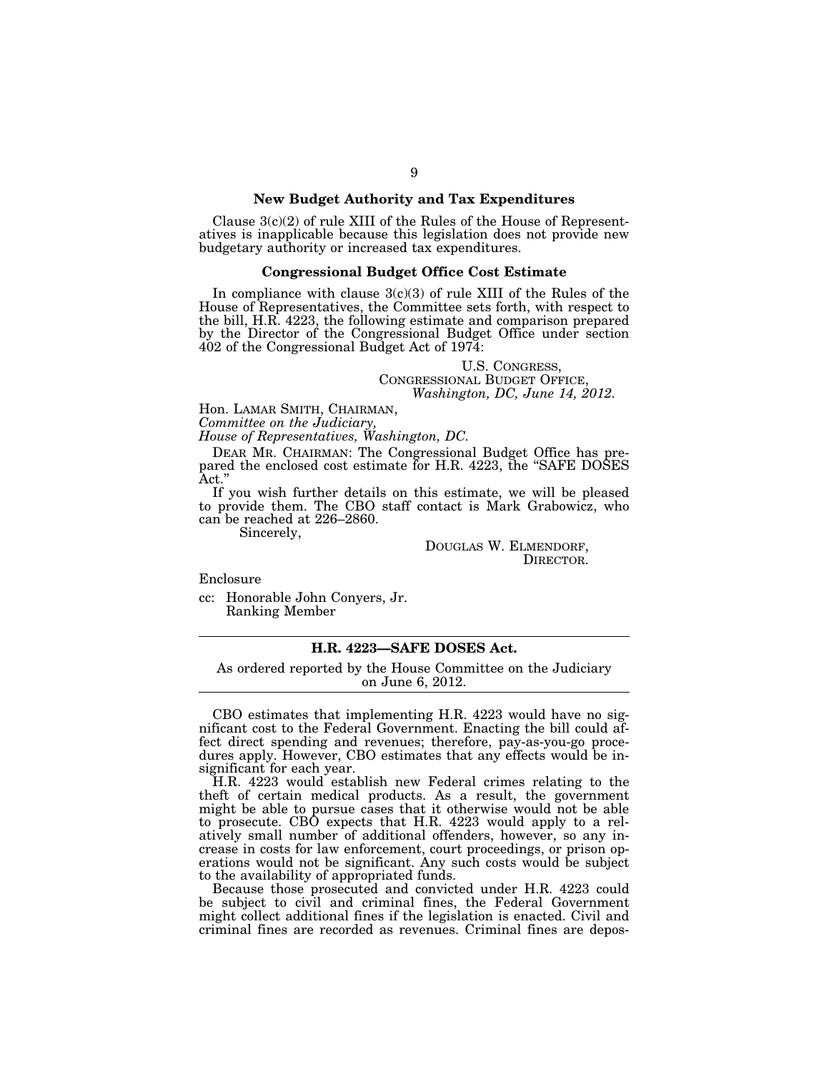### **New Budget Authority and Tax Expenditures**

Clause  $3(c)(2)$  of rule XIII of the Rules of the House of Representatives is inapplicable because this legislation does not provide new budgetary authority or increased tax expenditures.

#### **Congressional Budget Office Cost Estimate**

In compliance with clause  $3(c)(3)$  of rule XIII of the Rules of the House of Representatives, the Committee sets forth, with respect to the bill, H.R. 4223, the following estimate and comparison prepared by the Director of the Congressional Budget Office under section 402 of the Congressional Budget Act of 1974:

> U.S. CONGRESS,<br>CONGRESSIONAL BUDGET OFFICE, *Washington, DC, June 14, 2012.*

Hon. LAMAR SMITH, CHAIRMAN,

*Committee on the Judiciary,* 

*House of Representatives, Washington, DC.* 

DEAR MR. CHAIRMAN: The Congressional Budget Office has prepared the enclosed cost estimate for H.R. 4223, the "SAFE DOSES"  $\operatorname{Act.}'$ 

If you wish further details on this estimate, we will be pleased to provide them. The CBO staff contact is Mark Grabowicz, who can be reached at 226–2860.

Sincerely,

DOUGLAS W. ELMENDORF, DIRECTOR.

Enclosure

cc: Honorable John Conyers, Jr. Ranking Member

## **H.R. 4223—SAFE DOSES Act.**

As ordered reported by the House Committee on the Judiciary on June 6, 2012.

CBO estimates that implementing H.R. 4223 would have no significant cost to the Federal Government. Enacting the bill could affect direct spending and revenues; therefore, pay-as-you-go procedures apply. However, CBO estimates that any effects would be insignificant for each year.

H.R. 4223 would establish new Federal crimes relating to the theft of certain medical products. As a result, the government might be able to pursue cases that it otherwise would not be able to prosecute. CBO expects that H.R. 4223 would apply to a relatively small number of additional offenders, however, so any increase in costs for law enforcement, court proceedings, or prison operations would not be significant. Any such costs would be subject to the availability of appropriated funds.

Because those prosecuted and convicted under H.R. 4223 could be subject to civil and criminal fines, the Federal Government might collect additional fines if the legislation is enacted. Civil and criminal fines are recorded as revenues. Criminal fines are depos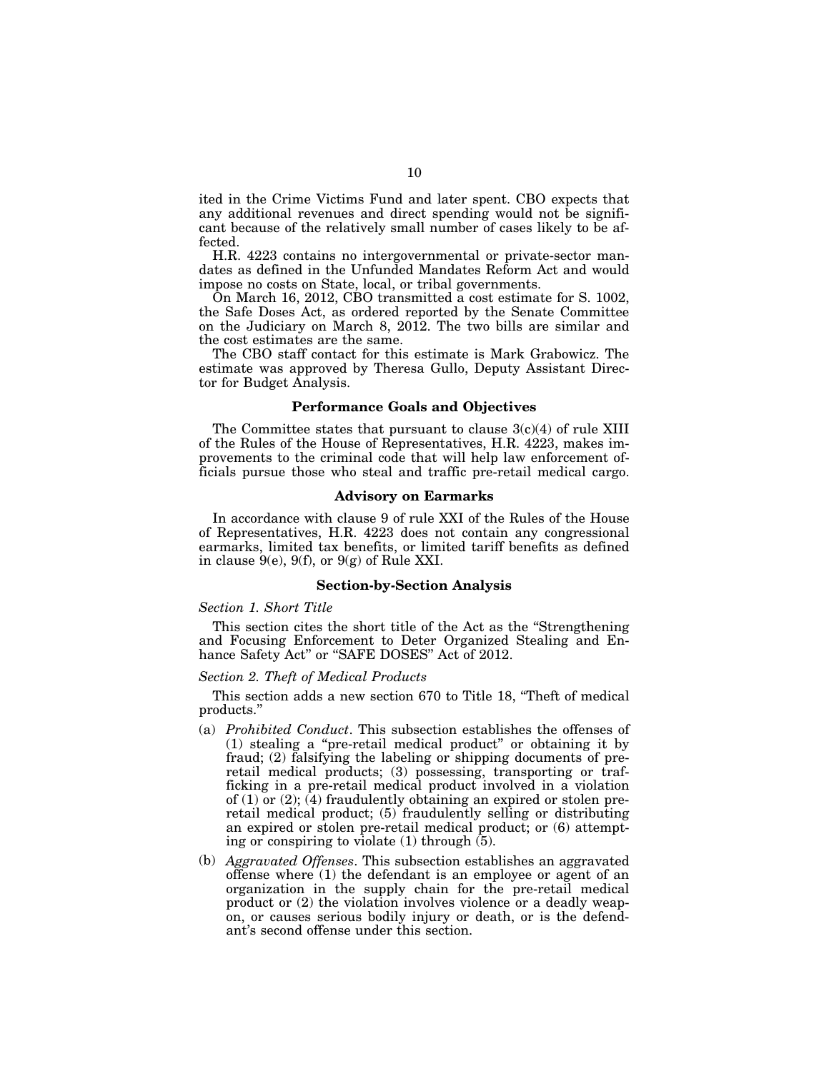ited in the Crime Victims Fund and later spent. CBO expects that any additional revenues and direct spending would not be significant because of the relatively small number of cases likely to be affected.

H.R. 4223 contains no intergovernmental or private-sector mandates as defined in the Unfunded Mandates Reform Act and would impose no costs on State, local, or tribal governments.

On March 16, 2012, CBO transmitted a cost estimate for S. 1002, the Safe Doses Act, as ordered reported by the Senate Committee on the Judiciary on March 8, 2012. The two bills are similar and the cost estimates are the same.

The CBO staff contact for this estimate is Mark Grabowicz. The estimate was approved by Theresa Gullo, Deputy Assistant Director for Budget Analysis.

#### **Performance Goals and Objectives**

The Committee states that pursuant to clause  $3(c)(4)$  of rule XIII of the Rules of the House of Representatives, H.R. 4223, makes improvements to the criminal code that will help law enforcement officials pursue those who steal and traffic pre-retail medical cargo.

### **Advisory on Earmarks**

In accordance with clause 9 of rule XXI of the Rules of the House of Representatives, H.R. 4223 does not contain any congressional earmarks, limited tax benefits, or limited tariff benefits as defined in clause  $9(e)$ ,  $9(f)$ , or  $9(g)$  of Rule XXI.

### **Section-by-Section Analysis**

#### *Section 1. Short Title*

This section cites the short title of the Act as the ''Strengthening and Focusing Enforcement to Deter Organized Stealing and Enhance Safety Act" or "SAFE DOSES" Act of 2012.

### *Section 2. Theft of Medical Products*

This section adds a new section 670 to Title 18, "Theft of medical products.''

- (a) *Prohibited Conduct*. This subsection establishes the offenses of (1) stealing a ''pre-retail medical product'' or obtaining it by fraud; (2) falsifying the labeling or shipping documents of preretail medical products; (3) possessing, transporting or trafficking in a pre-retail medical product involved in a violation of  $(1)$  or  $(2)$ ;  $(4)$  fraudulently obtaining an expired or stolen preretail medical product; (5) fraudulently selling or distributing an expired or stolen pre-retail medical product; or (6) attempting or conspiring to violate (1) through (5).
- (b) *Aggravated Offenses*. This subsection establishes an aggravated offense where (1) the defendant is an employee or agent of an organization in the supply chain for the pre-retail medical product or (2) the violation involves violence or a deadly weapon, or causes serious bodily injury or death, or is the defendant's second offense under this section.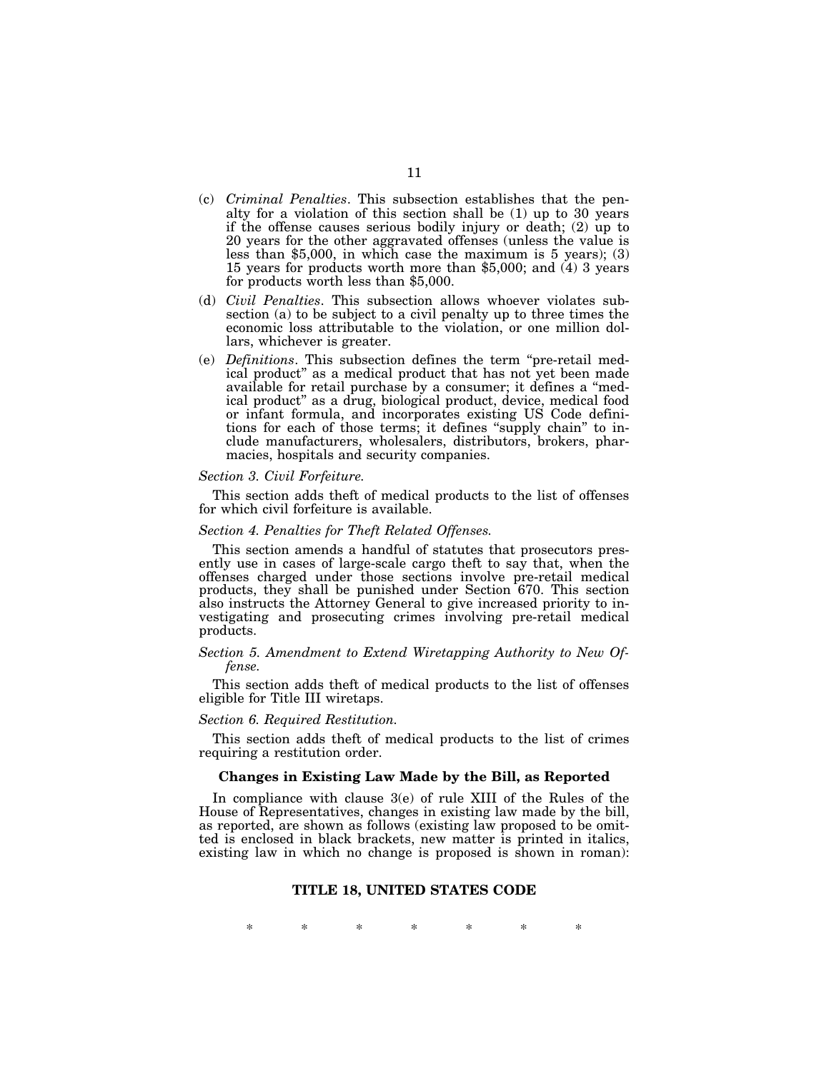- (c) *Criminal Penalties*. This subsection establishes that the penalty for a violation of this section shall be (1) up to 30 years if the offense causes serious bodily injury or death; (2) up to 20 years for the other aggravated offenses (unless the value is less than \$5,000, in which case the maximum is 5 years); (3) 15 years for products worth more than \$5,000; and (4) 3 years for products worth less than \$5,000.
- (d) *Civil Penalties*. This subsection allows whoever violates subsection (a) to be subject to a civil penalty up to three times the economic loss attributable to the violation, or one million dollars, whichever is greater.
- (e) *Definitions*. This subsection defines the term ''pre-retail medical product'' as a medical product that has not yet been made available for retail purchase by a consumer; it defines a ''medical product'' as a drug, biological product, device, medical food or infant formula, and incorporates existing US Code definitions for each of those terms; it defines ''supply chain'' to include manufacturers, wholesalers, distributors, brokers, pharmacies, hospitals and security companies.

#### *Section 3. Civil Forfeiture.*

This section adds theft of medical products to the list of offenses for which civil forfeiture is available.

#### *Section 4. Penalties for Theft Related Offenses.*

This section amends a handful of statutes that prosecutors presently use in cases of large-scale cargo theft to say that, when the offenses charged under those sections involve pre-retail medical products, they shall be punished under Section 670. This section also instructs the Attorney General to give increased priority to investigating and prosecuting crimes involving pre-retail medical products.

#### *Section 5. Amendment to Extend Wiretapping Authority to New Offense.*

This section adds theft of medical products to the list of offenses eligible for Title III wiretaps.

#### *Section 6. Required Restitution.*

This section adds theft of medical products to the list of crimes requiring a restitution order.

#### **Changes in Existing Law Made by the Bill, as Reported**

In compliance with clause 3(e) of rule XIII of the Rules of the House of Representatives, changes in existing law made by the bill, as reported, are shown as follows (existing law proposed to be omitted is enclosed in black brackets, new matter is printed in italics, existing law in which no change is proposed is shown in roman):

### **TITLE 18, UNITED STATES CODE**

\* \* \* \* \* \* \*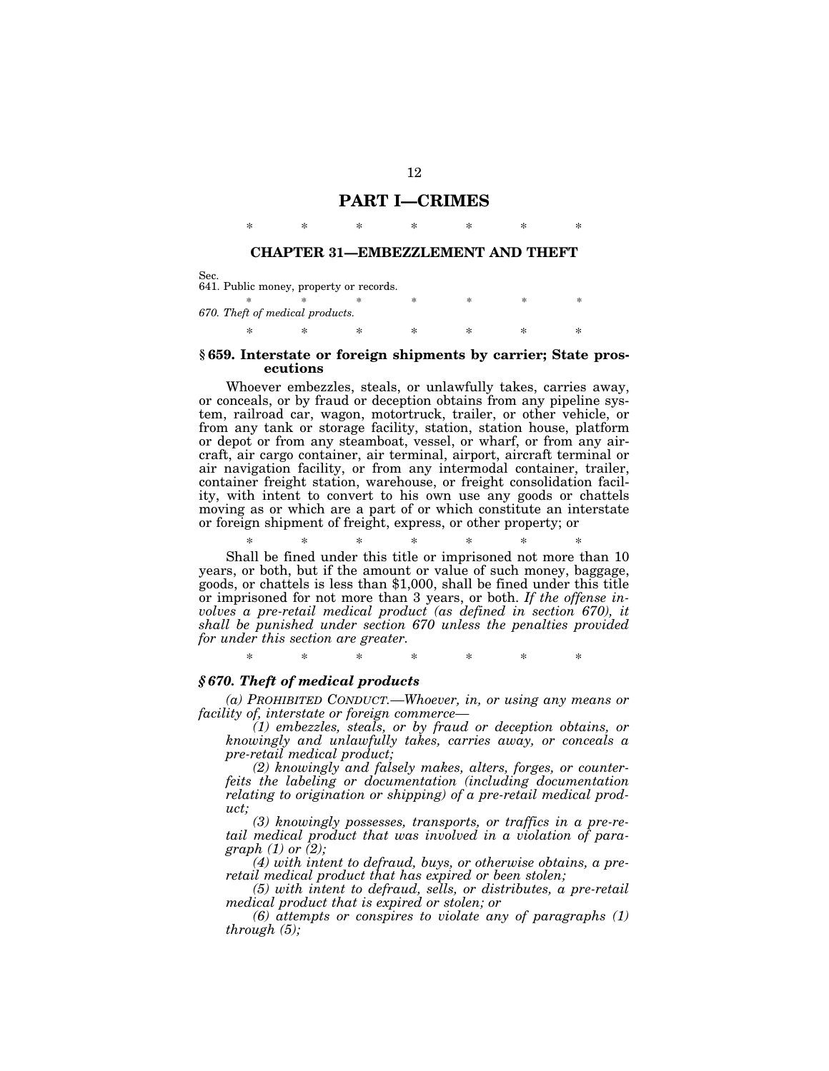## **PART I—CRIMES**

# \* \* \* \* \* \* \* **CHAPTER 31—EMBEZZLEMENT AND THEFT**

Sec. 641. Public money, property or records. \* \* \* \* \* \* \* \* *670. Theft of medical products.*  \* \* \* \* \* \* \*

#### **§ 659. Interstate or foreign shipments by carrier; State prosecutions**

Whoever embezzles, steals, or unlawfully takes, carries away, or conceals, or by fraud or deception obtains from any pipeline system, railroad car, wagon, motortruck, trailer, or other vehicle, or from any tank or storage facility, station, station house, platform or depot or from any steamboat, vessel, or wharf, or from any aircraft, air cargo container, air terminal, airport, aircraft terminal or air navigation facility, or from any intermodal container, trailer, container freight station, warehouse, or freight consolidation facility, with intent to convert to his own use any goods or chattels moving as or which are a part of or which constitute an interstate or foreign shipment of freight, express, or other property; or

\* \* \* \* \* \* \* Shall be fined under this title or imprisoned not more than 10 years, or both, but if the amount or value of such money, baggage, goods, or chattels is less than \$1,000, shall be fined under this title or imprisoned for not more than 3 years, or both. *If the offense involves a pre-retail medical product (as defined in section 670), it shall be punished under section 670 unless the penalties provided for under this section are greater.* 

\* \* \* \* \* \* \*

## *§ 670. Theft of medical products*

*(a) PROHIBITED CONDUCT.—Whoever, in, or using any means or facility of, interstate or foreign commerce—* 

*(1) embezzles, steals, or by fraud or deception obtains, or knowingly and unlawfully takes, carries away, or conceals a pre-retail medical product;* 

*(2) knowingly and falsely makes, alters, forges, or counterfeits the labeling or documentation (including documentation relating to origination or shipping) of a pre-retail medical product;* 

*(3) knowingly possesses, transports, or traffics in a pre-retail medical product that was involved in a violation of paragraph (1) or (2);* 

*(4) with intent to defraud, buys, or otherwise obtains, a preretail medical product that has expired or been stolen;* 

*(5) with intent to defraud, sells, or distributes, a pre-retail medical product that is expired or stolen; or* 

*(6) attempts or conspires to violate any of paragraphs (1) through (5);*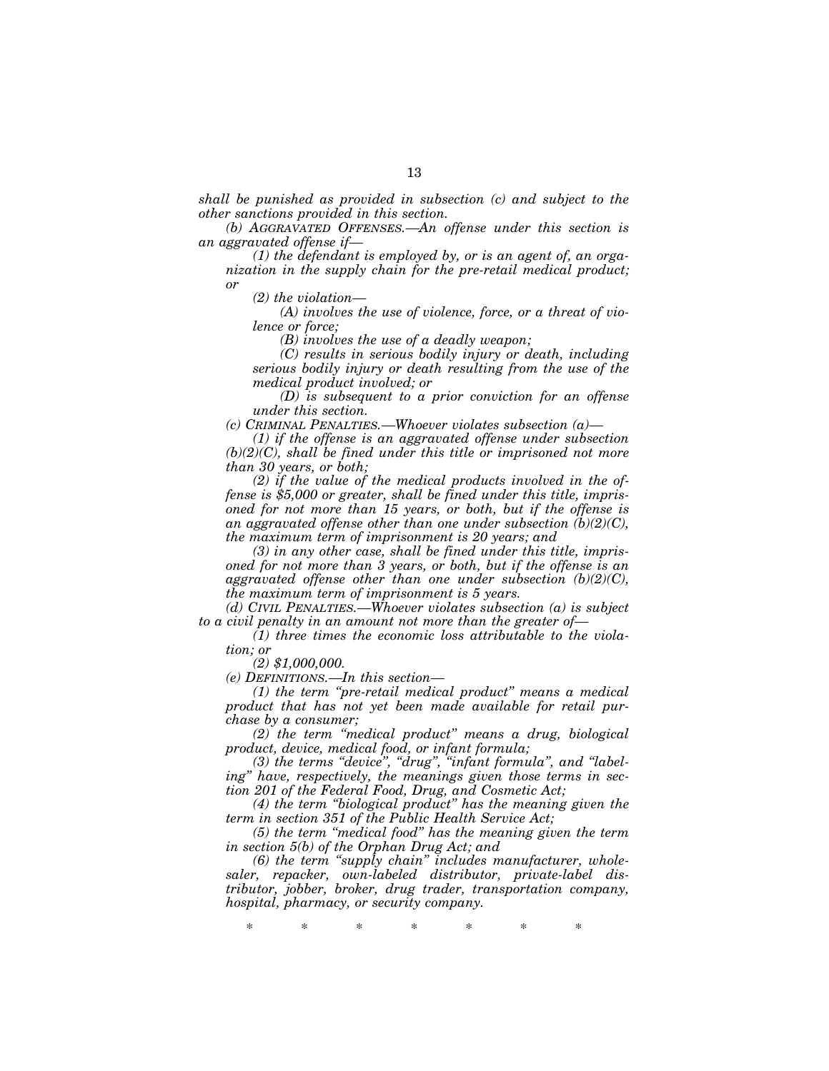*shall be punished as provided in subsection (c) and subject to the other sanctions provided in this section.* 

*(b) AGGRAVATED OFFENSES.—An offense under this section is an aggravated offense if—* 

*(1) the defendant is employed by, or is an agent of, an organization in the supply chain for the pre-retail medical product; or* 

*(2) the violation—* 

*(A) involves the use of violence, force, or a threat of violence or force;* 

*(B) involves the use of a deadly weapon;* 

*(C) results in serious bodily injury or death, including serious bodily injury or death resulting from the use of the medical product involved; or* 

*(D) is subsequent to a prior conviction for an offense under this section.* 

*(c) CRIMINAL PENALTIES.—Whoever violates subsection (a)—* 

*(1) if the offense is an aggravated offense under subsection (b)(2)(C), shall be fined under this title or imprisoned not more than 30 years, or both;* 

*(2) if the value of the medical products involved in the offense is \$5,000 or greater, shall be fined under this title, imprisoned for not more than 15 years, or both, but if the offense is an aggravated offense other than one under subsection (b)(2)(C), the maximum term of imprisonment is 20 years; and* 

*(3) in any other case, shall be fined under this title, imprisoned for not more than 3 years, or both, but if the offense is an aggravated offense other than one under subsection (b)(2)(C), the maximum term of imprisonment is 5 years.* 

*(d) CIVIL PENALTIES.—Whoever violates subsection (a) is subject to a civil penalty in an amount not more than the greater of—* 

*(1) three times the economic loss attributable to the violation; or* 

*(2) \$1,000,000.* 

*(e) DEFINITIONS.—In this section—* 

*(1) the term ''pre-retail medical product'' means a medical product that has not yet been made available for retail purchase by a consumer;* 

*(2) the term ''medical product'' means a drug, biological product, device, medical food, or infant formula;* 

*(3) the terms ''device'', ''drug'', ''infant formula'', and ''labeling'' have, respectively, the meanings given those terms in section 201 of the Federal Food, Drug, and Cosmetic Act;* 

*(4) the term ''biological product'' has the meaning given the term in section 351 of the Public Health Service Act;* 

*(5) the term ''medical food'' has the meaning given the term in section 5(b) of the Orphan Drug Act; and* 

*(6) the term ''supply chain'' includes manufacturer, wholesaler, repacker, own-labeled distributor, private-label distributor, jobber, broker, drug trader, transportation company, hospital, pharmacy, or security company.* 

\* \* \* \* \* \* \*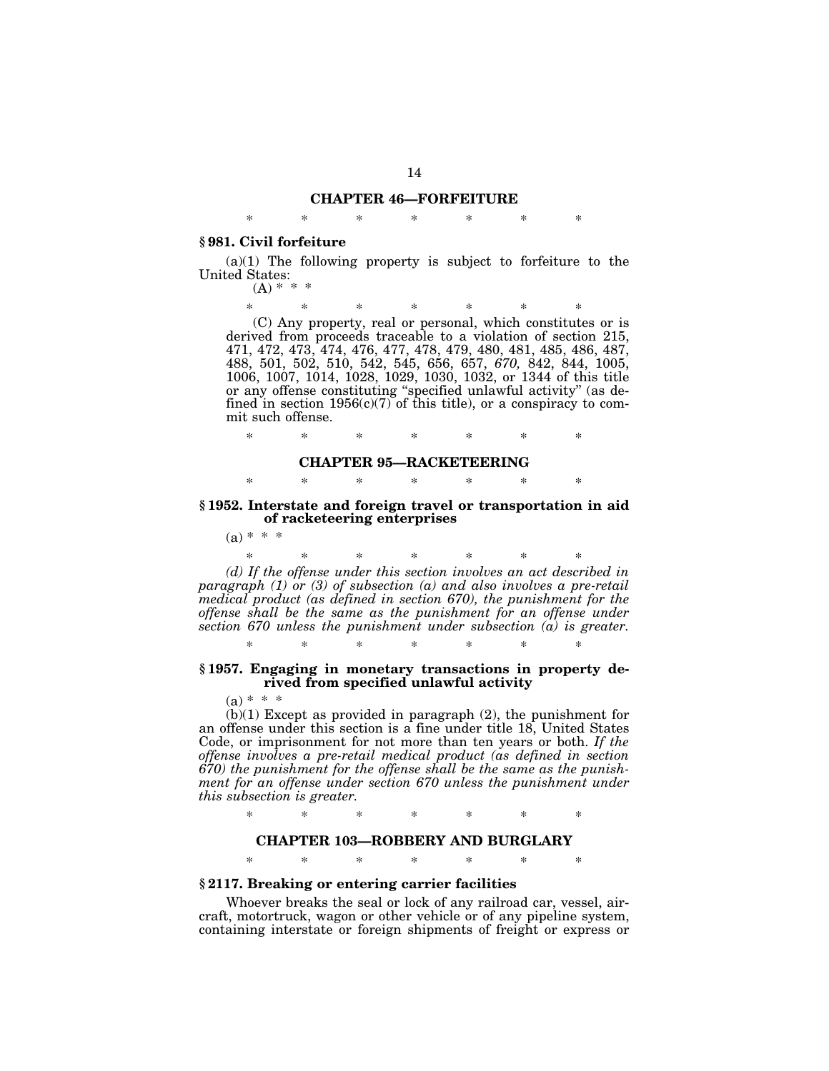# **CHAPTER 46—FORFEITURE**  \* \* \* \* \* \* \*

#### **§ 981. Civil forfeiture**

 $(a)(1)$  The following property is subject to forfeiture to the United States:  $(A) * * * *$ 

\* \* \* \* \* \* \*

(C) Any property, real or personal, which constitutes or is derived from proceeds traceable to a violation of section 215, 471, 472, 473, 474, 476, 477, 478, 479, 480, 481, 485, 486, 487, 488, 501, 502, 510, 542, 545, 656, 657, *670,* 842, 844, 1005, 1006, 1007, 1014, 1028, 1029, 1030, 1032, or 1344 of this title or any offense constituting ''specified unlawful activity'' (as defined in section  $1956(c)(7)$  of this title), or a conspiracy to commit such offense.

\* \* \* \* \* \* \*

#### **CHAPTER 95—RACKETEERING**

\* \* \* \* \* \* \*

**§ 1952. Interstate and foreign travel or transportation in aid of racketeering enterprises** 

 $(a) * * *$ 

\* \* \* \* \* \* \* *(d) If the offense under this section involves an act described in paragraph (1) or (3) of subsection (a) and also involves a pre-retail medical product (as defined in section 670), the punishment for the offense shall be the same as the punishment for an offense under section 670 unless the punishment under subsection (a) is greater.* 

#### **§ 1957. Engaging in monetary transactions in property derived from specified unlawful activity**

\* \* \* \* \* \* \*

 $(a) * * *$ 

 $(b)(1)$  Except as provided in paragraph  $(2)$ , the punishment for an offense under this section is a fine under title 18, United States Code, or imprisonment for not more than ten years or both. *If the offense involves a pre-retail medical product (as defined in section 670) the punishment for the offense shall be the same as the punish*ment for an offense under section 670 unless the punishment under *this subsection is greater.* 

\* \* \* \* \* \* \*

## **CHAPTER 103—ROBBERY AND BURGLARY**

\* \* \* \* \* \* \*

## **§ 2117. Breaking or entering carrier facilities**

Whoever breaks the seal or lock of any railroad car, vessel, aircraft, motortruck, wagon or other vehicle or of any pipeline system, containing interstate or foreign shipments of freight or express or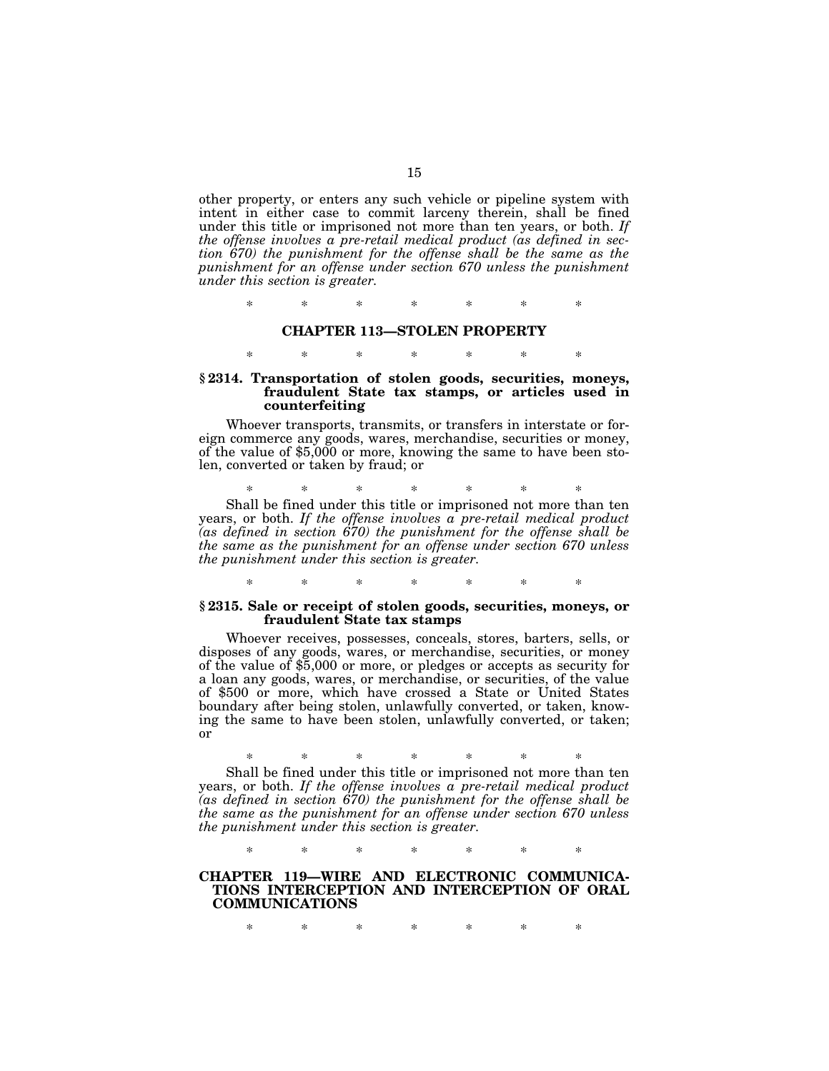other property, or enters any such vehicle or pipeline system with intent in either case to commit larceny therein, shall be fined under this title or imprisoned not more than ten years, or both. *If the offense involves a pre-retail medical product (as defined in section 670) the punishment for the offense shall be the same as the punishment for an offense under section 670 unless the punishment under this section is greater.* 

\* \* \* \* \* \* \*

#### **CHAPTER 113—STOLEN PROPERTY**

## \* \* \* \* \* \* \*

## **§ 2314. Transportation of stolen goods, securities, moneys, fraudulent State tax stamps, or articles used in counterfeiting**

Whoever transports, transmits, or transfers in interstate or foreign commerce any goods, wares, merchandise, securities or money, of the value of \$5,000 or more, knowing the same to have been stolen, converted or taken by fraud; or

\* \* \* \* \* \* \* Shall be fined under this title or imprisoned not more than ten years, or both. *If the offense involves a pre-retail medical product (as defined in section 670) the punishment for the offense shall be the same as the punishment for an offense under section 670 unless the punishment under this section is greater.* 

### **§ 2315. Sale or receipt of stolen goods, securities, moneys, or fraudulent State tax stamps**

\* \* \* \* \* \* \*

Whoever receives, possesses, conceals, stores, barters, sells, or disposes of any goods, wares, or merchandise, securities, or money of the value of \$5,000 or more, or pledges or accepts as security for a loan any goods, wares, or merchandise, or securities, of the value of \$500 or more, which have crossed a State or United States boundary after being stolen, unlawfully converted, or taken, knowing the same to have been stolen, unlawfully converted, or taken; or

\* \* \* \* \* \* \* Shall be fined under this title or imprisoned not more than ten

years, or both. *If the offense involves a pre-retail medical product (as defined in section 670) the punishment for the offense shall be the same as the punishment for an offense under section 670 unless the punishment under this section is greater.* 

\* \* \* \* \* \* \*

## **CHAPTER 119—WIRE AND ELECTRONIC COMMUNICA-TIONS INTERCEPTION AND INTERCEPTION OF ORAL COMMUNICATIONS**

\* \* \* \* \* \* \*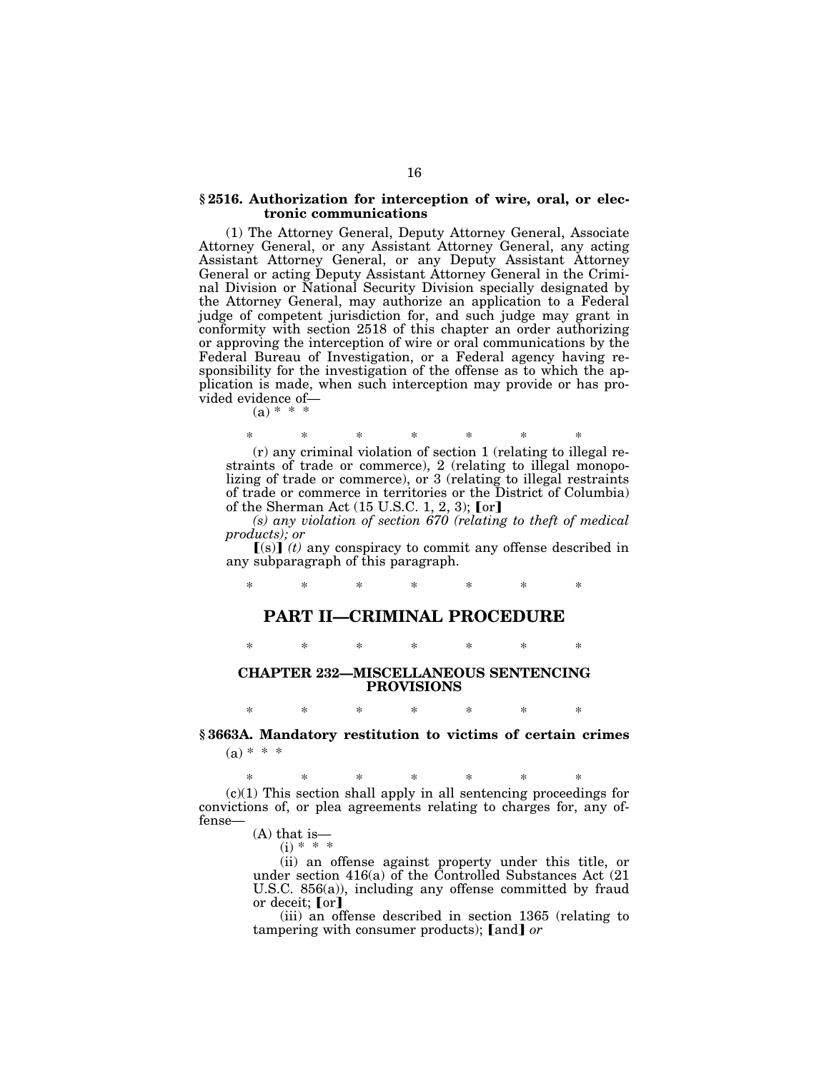### **§ 2516. Authorization for interception of wire, oral, or electronic communications**

(1) The Attorney General, Deputy Attorney General, Associate Attorney General, or any Assistant Attorney General, any acting Assistant Attorney General, or any Deputy Assistant Attorney General or acting Deputy Assistant Attorney General in the Criminal Division or National Security Division specially designated by the Attorney General, may authorize an application to a Federal judge of competent jurisdiction for, and such judge may grant in conformity with section 2518 of this chapter an order authorizing or approving the interception of wire or oral communications by the Federal Bureau of Investigation, or a Federal agency having responsibility for the investigation of the offense as to which the application is made, when such interception may provide or has provided evidence of—

 $(a) * * *$ 

\* \* \* \* \* \* \*

(r) any criminal violation of section 1 (relating to illegal restraints of trade or commerce), 2 (relating to illegal monopolizing of trade or commerce), or 3 (relating to illegal restraints of trade or commerce in territories or the District of Columbia) of the Sherman Act  $(15 \text{ U.S.C. } 1, 2, 3)$ ; [or]

*(s) any violation of section 670 (relating to theft of medical products); or* 

 $[(s)]$  (*t*) any conspiracy to commit any offense described in any subparagraph of this paragraph.

\* \* \* \* \* \* \*

## **PART II—CRIMINAL PROCEDURE**

\* \* \* \* \* \* \*

**CHAPTER 232—MISCELLANEOUS SENTENCING PROVISIONS** 

# \* \* \* \* \* \* \* **§ 3663A. Mandatory restitution to victims of certain crimes**   $(a) * * *$

\* \* \* \* \* \* \*  $(c)(1)$  This section shall apply in all sentencing proceedings for convictions of, or plea agreements relating to charges for, any offense—

(A) that is—

 $(i) * * *$ 

(ii) an offense against property under this title, or under section 416(a) of the Controlled Substances Act (21 U.S.C. 856(a)), including any offense committed by fraud or deceit;  $\lceil \text{or} \rceil$ 

(iii) an offense described in section 1365 (relating to tampering with consumer products); [and] or